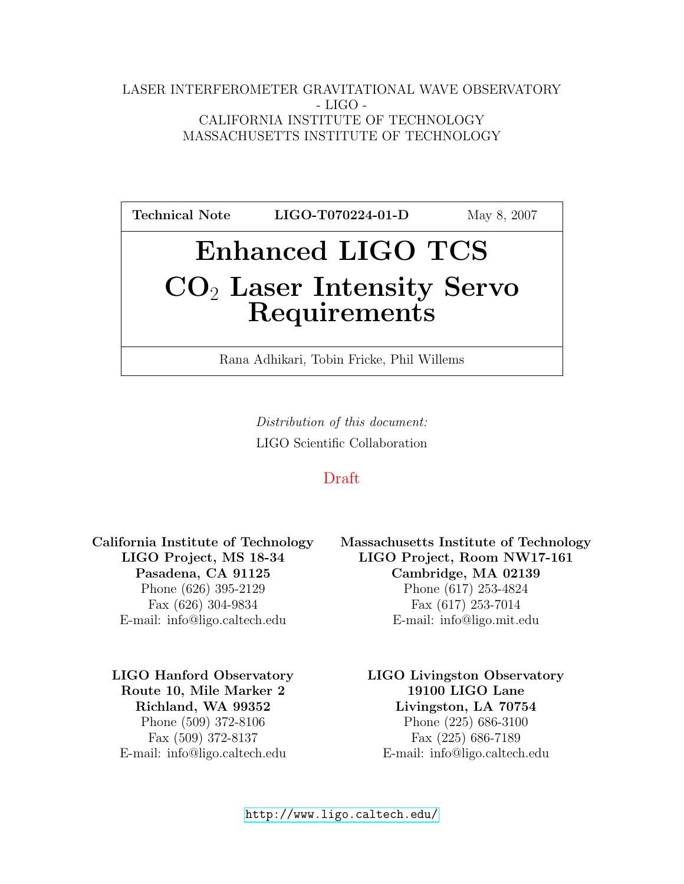#### LASER INTERFEROMETER GRAVITATIONAL WAVE OBSERVATORY - LIGO - CALIFORNIA INSTITUTE OF TECHNOLOGY MASSACHUSETTS INSTITUTE OF TECHNOLOGY

Technical Note LIGO-T070224-01-D May 8, 2007

# Enhanced LIGO TCS CO<sup>2</sup> Laser Intensity Servo Requirements

Rana Adhikari, Tobin Fricke, Phil Willems

Distribution of this document: LIGO Scientific Collaboration

### Draft

E-mail: info@ligo.caltech.edu E-mail: info@ligo.mit.edu

Route 10, Mile Marker 2 19100 LIGO Lane

California Institute of Technology Massachusetts Institute of Technology LIGO Project, MS 18-34 LIGO Project, Room NW17-161 Pasadena, CA 91125 Cambridge, MA 02139 Phone (626) 395-2129 Phone (617) 253-4824 Fax (626) 304-9834 Fax (617) 253-7014

LIGO Hanford Observatory LIGO Livingston Observatory Richland, WA 99352 Livingston, LA 70754 Phone (509) 372-8106 Phone (225) 686-3100 Fax (509) 372-8137 Fax (225) 686-7189 E-mail: info@ligo.caltech.edu E-mail: info@ligo.caltech.edu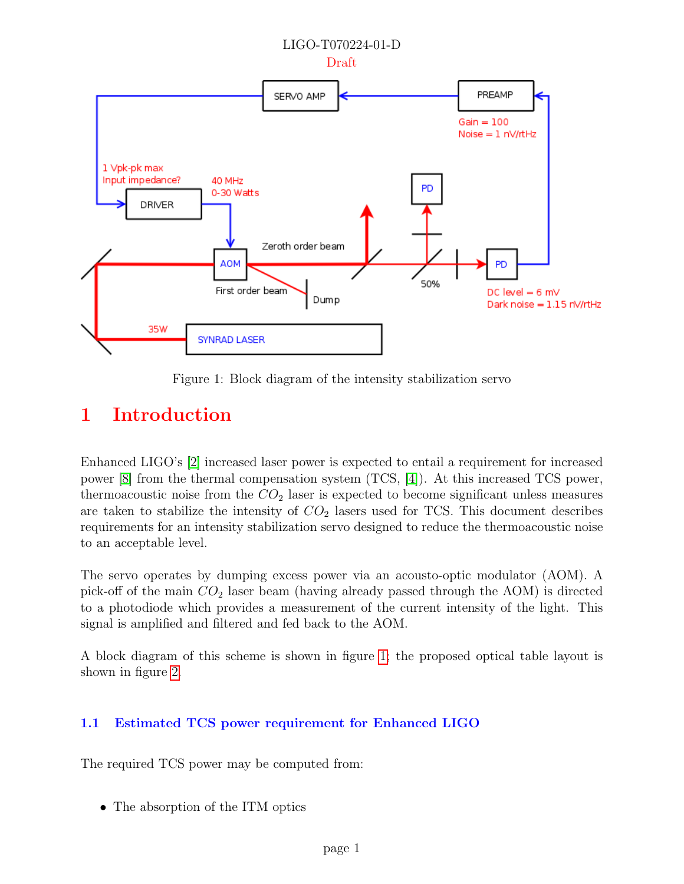

<span id="page-1-0"></span>Figure 1: Block diagram of the intensity stabilization servo

# 1 Introduction

Enhanced LIGO's [\[2\]](#page-11-0) increased laser power is expected to entail a requirement for increased power [\[8\]](#page-11-1) from the thermal compensation system (TCS, [\[4\]](#page-11-2)). At this increased TCS power, thermoacoustic noise from the  $CO<sub>2</sub>$  laser is expected to become significant unless measures are taken to stabilize the intensity of  $CO<sub>2</sub>$  lasers used for TCS. This document describes requirements for an intensity stabilization servo designed to reduce the thermoacoustic noise to an acceptable level.

The servo operates by dumping excess power via an acousto-optic modulator (AOM). A pick-off of the main  $CO<sub>2</sub>$  laser beam (having already passed through the AOM) is directed to a photodiode which provides a measurement of the current intensity of the light. This signal is amplified and filtered and fed back to the AOM.

A block diagram of this scheme is shown in figure [1;](#page-1-0) the proposed optical table layout is shown in figure [2.](#page-2-0)

### 1.1 Estimated TCS power requirement for Enhanced LIGO

The required TCS power may be computed from:

• The absorption of the ITM optics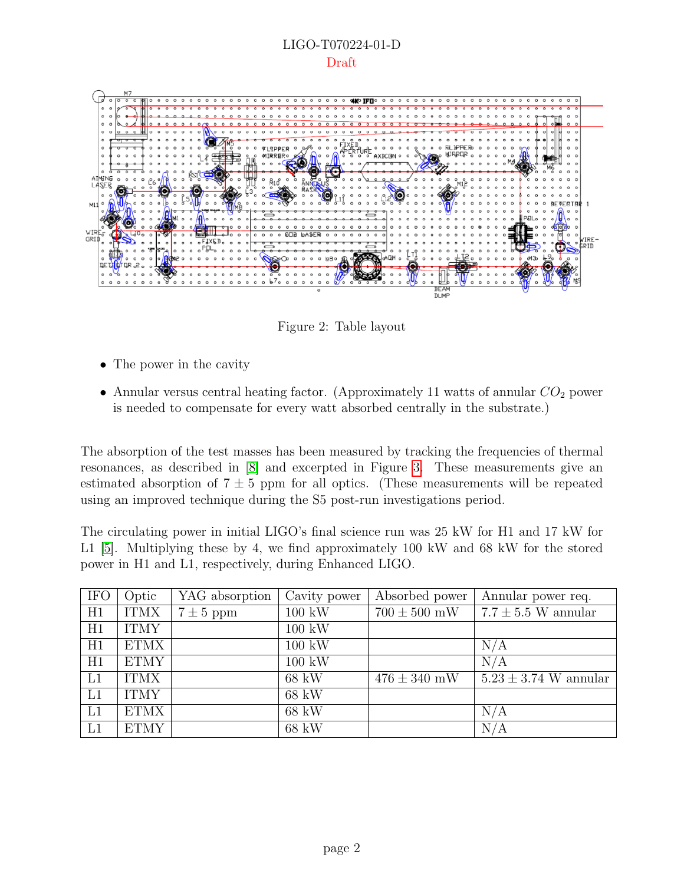#### LIGO-T070224-01-D Draft



<span id="page-2-0"></span>Figure 2: Table layout

- The power in the cavity
- Annular versus central heating factor. (Approximately 11 watts of annular  $CO<sub>2</sub>$  power is needed to compensate for every watt absorbed centrally in the substrate.)

The absorption of the test masses has been measured by tracking the frequencies of thermal resonances, as described in [\[8\]](#page-11-1) and excerpted in Figure [3.](#page-3-0) These measurements give an estimated absorption of  $7 \pm 5$  ppm for all optics. (These measurements will be repeated using an improved technique during the S5 post-run investigations period.

The circulating power in initial LIGO's final science run was 25 kW for H1 and 17 kW for L1 [\[5\]](#page-11-3). Multiplying these by 4, we find approximately 100 kW and 68 kW for the stored power in H1 and L1, respectively, during Enhanced LIGO.

| <b>IFO</b> | Optic       | YAG absorption | Cavity power      | Absorbed power   | Annular power req.        |
|------------|-------------|----------------|-------------------|------------------|---------------------------|
| H1         | <b>ITMX</b> | $7 \pm 5$ ppm  | $100$ kW          | $700 \pm 500$ mW | $7.7 \pm 5.5$ W annular   |
| H1         | <b>ITMY</b> |                | $100 \text{ kW}$  |                  |                           |
| H1         | <b>ETMX</b> |                | $100~\mathrm{kW}$ |                  | N/A                       |
| H1         | <b>ETMY</b> |                | $100~\mathrm{kW}$ |                  | N/A                       |
| L1         | <b>ITMX</b> |                | 68 kW             | $476 \pm 340$ mW | $5.23 \pm 3.74$ W annular |
| L1         | <b>ITMY</b> |                | 68 kW             |                  |                           |
| L1         | <b>ETMX</b> |                | 68 kW             |                  | N/A                       |
| L1         | <b>ETMY</b> |                | 68 kW             |                  | N/A                       |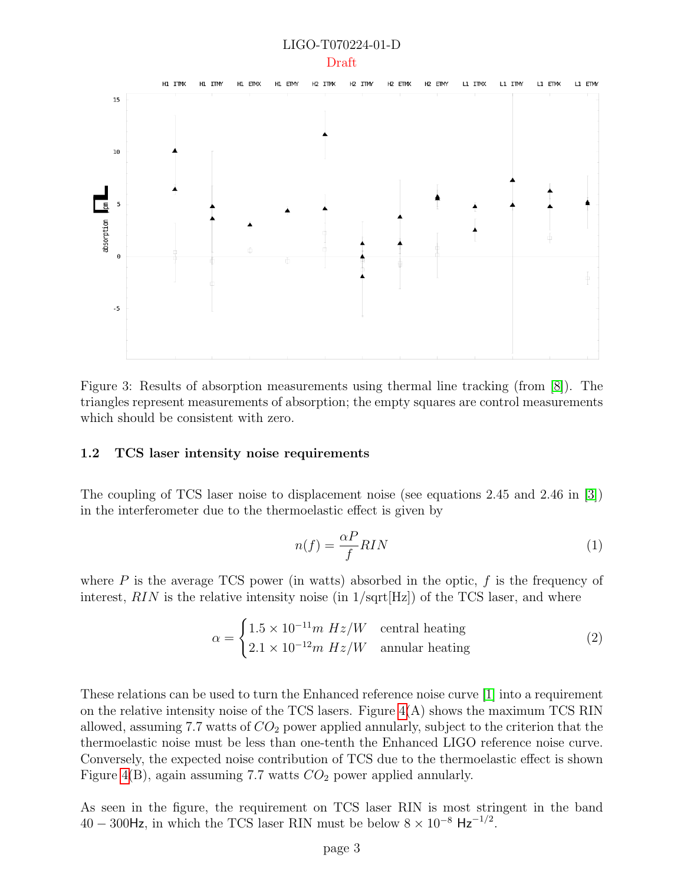



<span id="page-3-0"></span>Figure 3: Results of absorption measurements using thermal line tracking (from [\[8\]](#page-11-1)). The triangles represent measurements of absorption; the empty squares are control measurements which should be consistent with zero.

#### 1.2 TCS laser intensity noise requirements

The coupling of TCS laser noise to displacement noise (see equations 2.45 and 2.46 in [\[3\]](#page-11-4)) in the interferometer due to the thermoelastic effect is given by

$$
n(f) = \frac{\alpha P}{f} RIN \tag{1}
$$

where  $P$  is the average TCS power (in watts) absorbed in the optic,  $f$  is the frequency of interest,  $RIN$  is the relative intensity noise (in  $1/\text{sqrt}[Hz]$ ) of the TCS laser, and where

$$
\alpha = \begin{cases} 1.5 \times 10^{-11} m \ Hz/W & \text{central heating} \\ 2.1 \times 10^{-12} m \ Hz/W & \text{annular heating} \end{cases}
$$
 (2)

These relations can be used to turn the Enhanced reference noise curve [\[1\]](#page-11-5) into a requirement on the relative intensity noise of the TCS lasers. Figure  $4(A)$  shows the maximum TCS RIN allowed, assuming 7.7 watts of  $CO<sub>2</sub>$  power applied annularly, subject to the criterion that the thermoelastic noise must be less than one-tenth the Enhanced LIGO reference noise curve. Conversely, the expected noise contribution of TCS due to the thermoelastic effect is shown Figure [4\(](#page-4-0)B), again assuming 7.7 watts  $CO<sub>2</sub>$  power applied annularly.

As seen in the figure, the requirement on TCS laser RIN is most stringent in the band  $40 - 300$ Hz, in which the TCS laser RIN must be below  $8 \times 10^{-8}$  Hz<sup>-1/2</sup>.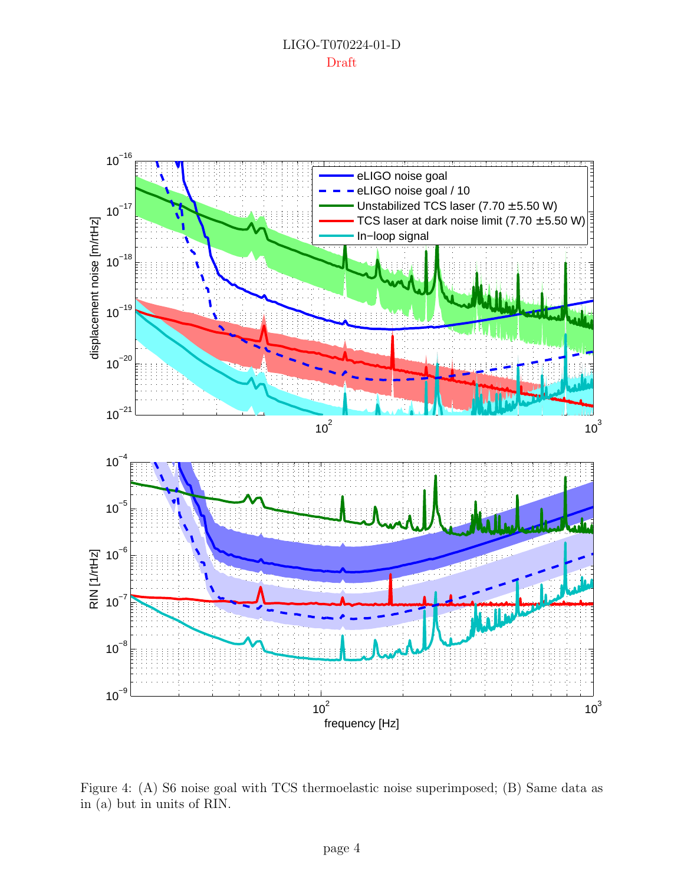

<span id="page-4-0"></span>Figure 4: (A) S6 noise goal with TCS thermoelastic noise superimposed; (B) Same data as in (a) but in units of RIN.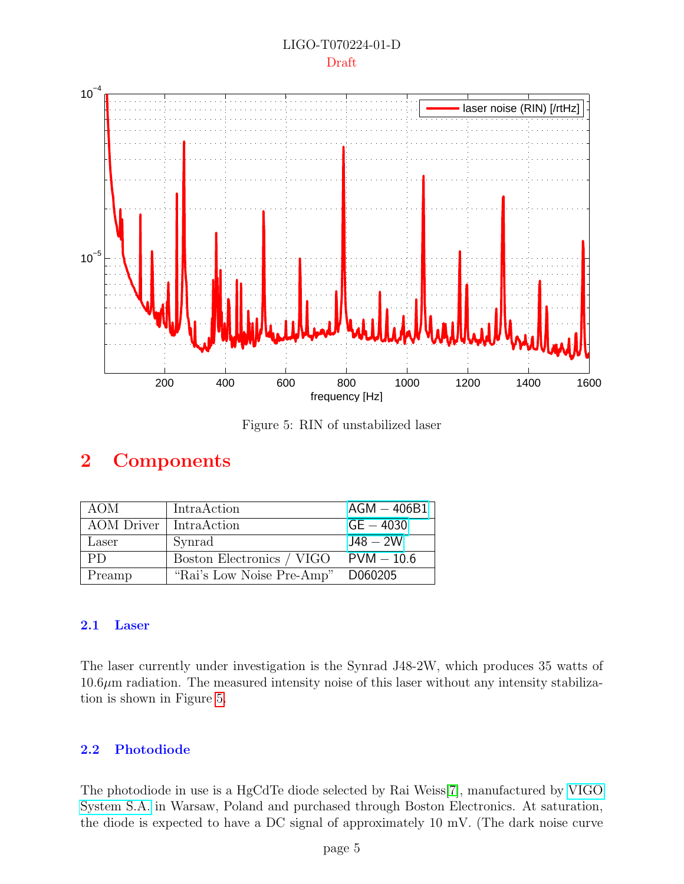#### LIGO-T070224-01-D Draft



<span id="page-5-0"></span>Figure 5: RIN of unstabilized laser

# 2 Components

| AOM                      | IntraAction                       | $AGM - 406B1$ |
|--------------------------|-----------------------------------|---------------|
| AOM Driver   IntraAction |                                   | $GE - 4030$   |
| Laser                    | Synrad                            | $148 - 2W$    |
| PD.                      | Boston Electronics / VIGO         | $PVM - 10.6$  |
| Preamp                   | "Rai's Low Noise Pre-Amp" D060205 |               |

#### 2.1 Laser

The laser currently under investigation is the Synrad J48-2W, which produces 35 watts of  $10.6\mu$ m radiation. The measured intensity noise of this laser without any intensity stabilization is shown in Figure [5.](#page-5-0)

#### 2.2 Photodiode

The photodiode in use is a HgCdTe diode selected by Rai Weiss[\[7\]](#page-11-6), manufactured by [VIGO](http://www.vigo.com.pl/) [System S.A.](http://www.vigo.com.pl/) in Warsaw, Poland and purchased through Boston Electronics. At saturation, the diode is expected to have a DC signal of approximately 10 mV. (The dark noise curve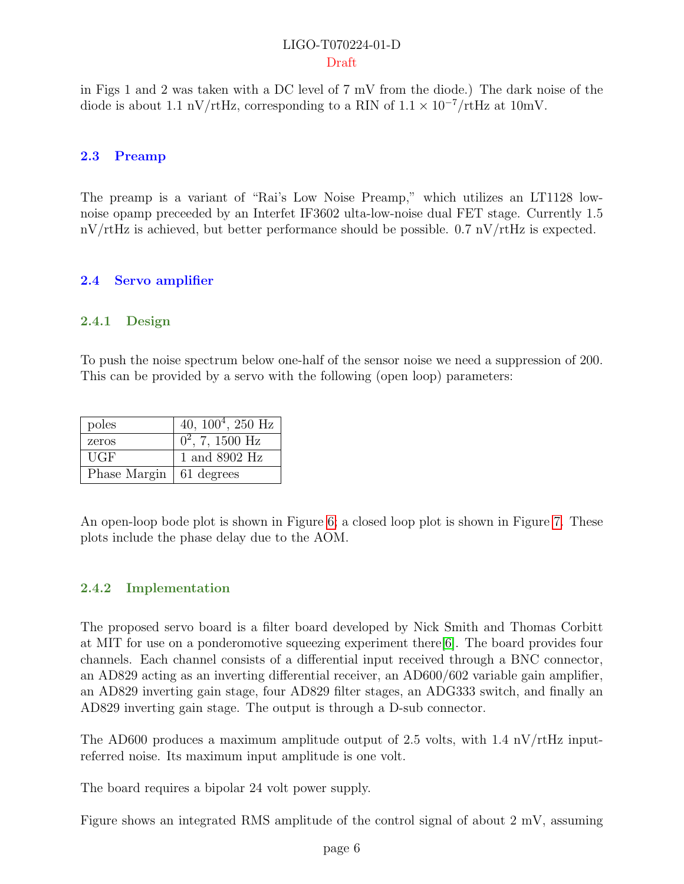#### LIGO-T070224-01-D Draft

in Figs 1 and 2 was taken with a DC level of 7 mV from the diode.) The dark noise of the diode is about 1.1 nV/rtHz, corresponding to a RIN of  $1.1 \times 10^{-7}/$ rtHz at 10mV.

#### 2.3 Preamp

The preamp is a variant of "Rai's Low Noise Preamp," which utilizes an LT1128 lownoise opamp preceeded by an Interfet IF3602 ulta-low-noise dual FET stage. Currently 1.5  $nV/rtHz$  is achieved, but better performance should be possible. 0.7  $nV/rtHz$  is expected.

#### 2.4 Servo amplifier

#### 2.4.1 Design

To push the noise spectrum below one-half of the sensor noise we need a suppression of 200. This can be provided by a servo with the following (open loop) parameters:

| poles                           | 40, $100^4$ , $250$ Hz |
|---------------------------------|------------------------|
| zeros                           | $0^2$ , 7, 1500 Hz     |
| UGF                             | 1 and 8902 Hz          |
| Phase Margin $\vert$ 61 degrees |                        |

An open-loop bode plot is shown in Figure [6;](#page-7-0) a closed loop plot is shown in Figure [7.](#page-7-1) These plots include the phase delay due to the AOM.

#### 2.4.2 Implementation

The proposed servo board is a filter board developed by Nick Smith and Thomas Corbitt at MIT for use on a ponderomotive squeezing experiment there[\[6\]](#page-11-7). The board provides four channels. Each channel consists of a differential input received through a BNC connector, an AD829 acting as an inverting differential receiver, an AD600/602 variable gain amplifier, an AD829 inverting gain stage, four AD829 filter stages, an ADG333 switch, and finally an AD829 inverting gain stage. The output is through a D-sub connector.

The AD600 produces a maximum amplitude output of 2.5 volts, with 1.4  $\rm nV/\rm rtHz$  inputreferred noise. Its maximum input amplitude is one volt.

The board requires a bipolar 24 volt power supply.

Figure shows an integrated RMS amplitude of the control signal of about 2 mV, assuming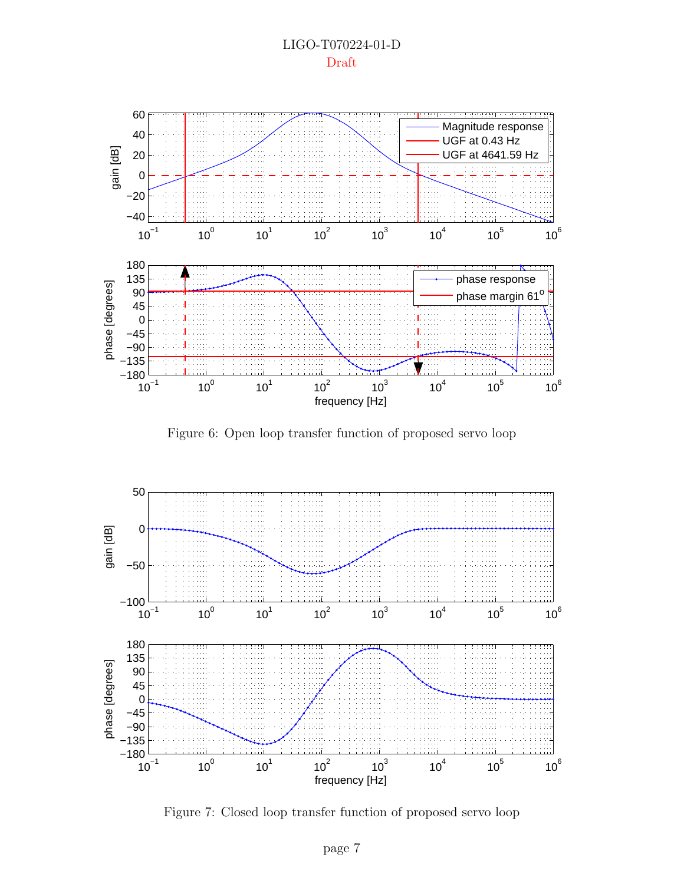

<span id="page-7-0"></span>Figure 6: Open loop transfer function of proposed servo loop



<span id="page-7-1"></span>Figure 7: Closed loop transfer function of proposed servo loop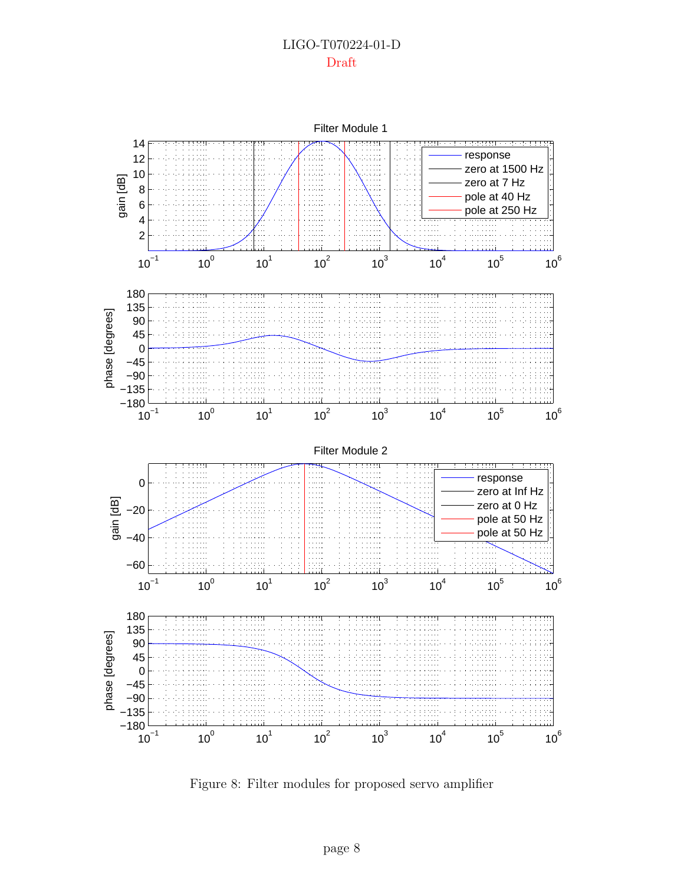Draft



Figure 8: Filter modules for proposed servo amplifier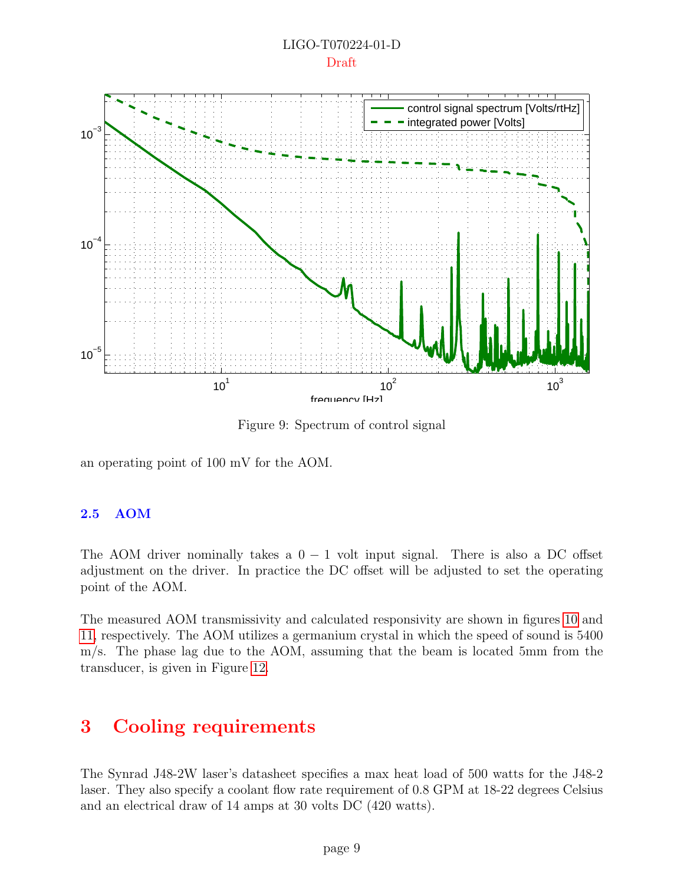



Figure 9: Spectrum of control signal

an operating point of 100 mV for the AOM.

#### 2.5 AOM

The AOM driver nominally takes a  $0 - 1$  volt input signal. There is also a DC offset adjustment on the driver. In practice the DC offset will be adjusted to set the operating point of the AOM.

The measured AOM transmissivity and calculated responsivity are shown in figures [10](#page-10-0) and [11,](#page-10-1) respectively. The AOM utilizes a germanium crystal in which the speed of sound is 5400 m/s. The phase lag due to the AOM, assuming that the beam is located 5mm from the transducer, is given in Figure [12.](#page-11-8)

# 3 Cooling requirements

The Synrad J48-2W laser's datasheet specifies a max heat load of 500 watts for the J48-2 laser. They also specify a coolant flow rate requirement of 0.8 GPM at 18-22 degrees Celsius and an electrical draw of 14 amps at 30 volts DC (420 watts).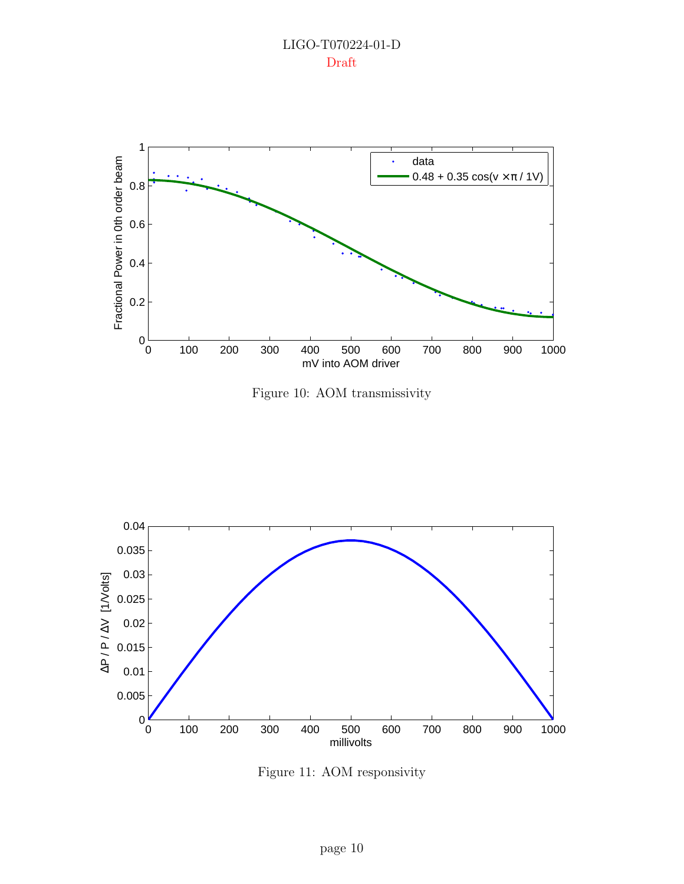

<span id="page-10-0"></span>Figure 10: AOM transmissivity



<span id="page-10-1"></span>Figure 11: AOM responsivity